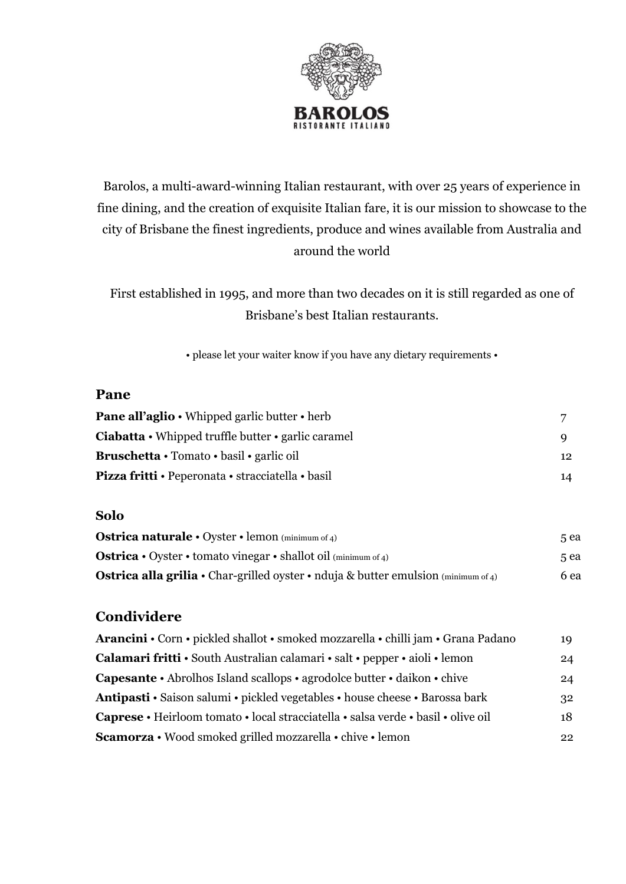

# Barolos, a multi-award-winning Italian restaurant, with over 25 years of experience in fine dining, and the creation of exquisite Italian fare, it is our mission to showcase to the city of Brisbane the finest ingredients, produce and wines available from Australia and around the world

First established in 1995, and more than two decades on it is still regarded as one of Brisbane's best Italian restaurants.

• please let your waiter know if you have any dietary requirements •

### **Pane**

| <b>Pane all'aglio</b> • Whipped garlic butter • herb                  |                 |
|-----------------------------------------------------------------------|-----------------|
| <b>Ciabatta</b> $\cdot$ Whipped truffle butter $\cdot$ garlic caramel |                 |
| Bruschetta • Tomato • basil • garlic oil                              | 12 <sup>2</sup> |
| <b>Pizza fritti • Peperonata • stracciatella • basil</b>              | 14              |

#### **Solo**

| <b>Ostrica naturale</b> $\cdot$ Oyster $\cdot$ lemon (minimum of 4)                       | 5 ea |
|-------------------------------------------------------------------------------------------|------|
| <b>Ostrica</b> • Oyster • tomato vinegar • shallot oil (minimum of 4)                     | 5 ea |
| <b>Ostrica alla grilia •</b> Char-grilled oyster • nduja & butter emulsion (minimum of 4) | 6 ea |

## **Condividere**

| Arancini • Corn • pickled shallot • smoked mozzarella • chilli jam • Grana Padano | 19 |
|-----------------------------------------------------------------------------------|----|
| Calamari fritti • South Australian calamari • salt • pepper • aioli • lemon       | 24 |
| Capesante • Abrolhos Island scallops • agrodolce butter • daikon • chive          | 24 |
| Antipasti · Saison salumi · pickled vegetables · house cheese · Barossa bark      | 32 |
| Caprese • Heirloom tomato • local stracciatella • salsa verde • basil • olive oil | 18 |
| Scamorza • Wood smoked grilled mozzarella • chive • lemon                         | 22 |